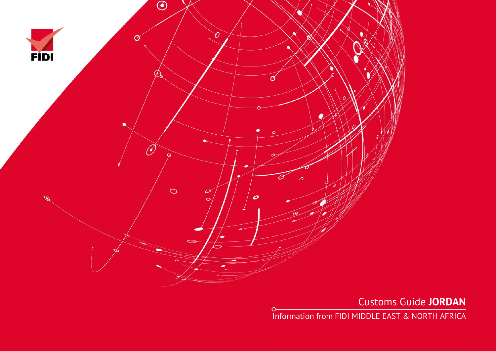

 $\circ$ 

Customs Guide **JORDAN**

Information from FIDI MIDDLE EAST & NORTH AFRICA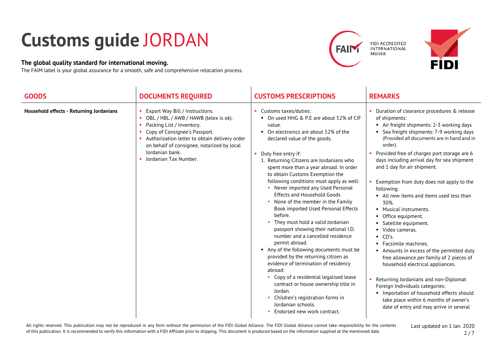## **Customs guide** JORDAN

## **The global quality standard for international moving.**

The FAIM label is your global assurance for a smooth, safe and comprehensive relocation process.





| <b>GOODS</b>                             | <b>DOCUMENTS REQUIRED</b>                                                                                                                                                                                                                                                                 | <b>CUSTOMS PRESCRIPTIONS</b>                                                                                                                                                                                                                                                                                                                                                                                                                                                                                                                                                                                                                 | <b>REMARKS</b>                                                                                                                                                                                                                                                                                                                                                                                                                                                                                                                                                                      |
|------------------------------------------|-------------------------------------------------------------------------------------------------------------------------------------------------------------------------------------------------------------------------------------------------------------------------------------------|----------------------------------------------------------------------------------------------------------------------------------------------------------------------------------------------------------------------------------------------------------------------------------------------------------------------------------------------------------------------------------------------------------------------------------------------------------------------------------------------------------------------------------------------------------------------------------------------------------------------------------------------|-------------------------------------------------------------------------------------------------------------------------------------------------------------------------------------------------------------------------------------------------------------------------------------------------------------------------------------------------------------------------------------------------------------------------------------------------------------------------------------------------------------------------------------------------------------------------------------|
| Household effects - Returning Jordanians | Export Way Bill / Instructions.<br>OBL / HBL / AWB / HAWB (telex is ok).<br>Packing List / Inventory.<br>m.<br>Copy of Consignee's Passport.<br>Authorization letter to obtain delivery order<br>on behalf of consignee, notarized by local<br>Jordanian bank.<br>• Jordanian Tax Number. | • Customs taxes/duties:<br>• On used HHG & P.E are about 52% of CIF<br>value.<br>• On electronics are about 52% of the<br>declared value of the goods.<br>• Duty free entry if:<br>1. Returning Citizens are Jordanians who<br>spent more than a year abroad. In order<br>to obtain Customs Exemption the<br>following conditions must apply as well:<br>• Never imported any Used Personal<br><b>Effects and Household Goods</b><br>None of the member in the Family<br>Book imported Used Personal Effects<br>before.<br>They must hold a valid Jordanian<br>٠<br>passport showing their national I.D.<br>number and a cancelled residence | • Duration of clearance procedures & release<br>of shipments:<br>• Air freight shipments: 2-3 working days<br>• Sea freight shipments: 7-9 working days<br>(Provided all documents are in hand and in<br>order).<br>Provided free of charges port storage are 6<br>days including arrival day for sea shipment<br>and 1 day for air shipment.<br>Exemption from duty does not apply to the<br>following:<br>• All new items and items used less than<br>30%.<br>• Musical instruments.<br>• Office equipment.<br>• Satellite equipment.<br>• Video cameras.<br>$\blacksquare$ CD's. |
|                                          |                                                                                                                                                                                                                                                                                           | permit abroad.<br>Any of the following documents must be<br>provided by the returning citizen as<br>evidence of termination of residency<br>abroad:<br>Copy of a residential legalised lease<br>contract or house ownership title in<br>Jordan.<br>Children's registration forms in<br>m.<br>Jordanian schools.<br>■ Endorsed new work contract.                                                                                                                                                                                                                                                                                             | • Facsimile machines.<br>• Amounts in excess of the permitted duty<br>free allowance per family of 2 pieces of<br>household electrical appliances.<br>Returning Jordanians and non-Diplomat<br>Foreign Individuals categories:<br>Importation of household effects should<br>take place within 6 months of owner's<br>date of entry and may arrive in several                                                                                                                                                                                                                       |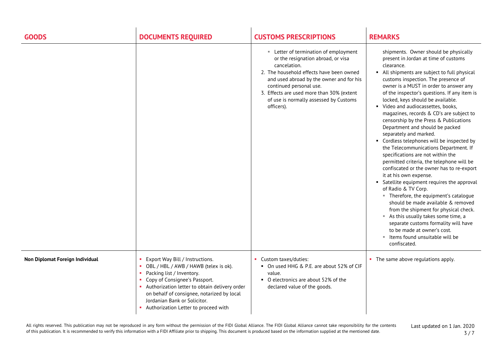| <b>GOODS</b>                    | <b>DOCUMENTS REQUIRED</b>                                                                                                                                                                                                                                                                                                       | <b>CUSTOMS PRESCRIPTIONS</b>                                                                                                                                                                                                                                                                                      | <b>REMARKS</b>                                                                                                                                                                                                                                                                                                                                                                                                                                                                                                                                                                                                                                                                                                                                                                                                                                                                                                                                                                                                                                                                                                             |
|---------------------------------|---------------------------------------------------------------------------------------------------------------------------------------------------------------------------------------------------------------------------------------------------------------------------------------------------------------------------------|-------------------------------------------------------------------------------------------------------------------------------------------------------------------------------------------------------------------------------------------------------------------------------------------------------------------|----------------------------------------------------------------------------------------------------------------------------------------------------------------------------------------------------------------------------------------------------------------------------------------------------------------------------------------------------------------------------------------------------------------------------------------------------------------------------------------------------------------------------------------------------------------------------------------------------------------------------------------------------------------------------------------------------------------------------------------------------------------------------------------------------------------------------------------------------------------------------------------------------------------------------------------------------------------------------------------------------------------------------------------------------------------------------------------------------------------------------|
|                                 |                                                                                                                                                                                                                                                                                                                                 | Letter of termination of employment<br>or the resignation abroad, or visa<br>cancelation.<br>2. The household effects have been owned<br>and used abroad by the owner and for his<br>continued personal use.<br>3. Effects are used more than 30% (extent<br>of use is normally assessed by Customs<br>officers). | shipments. Owner should be physically<br>present in Jordan at time of customs<br>clearance.<br>• All shipments are subject to full physical<br>customs inspection. The presence of<br>owner is a MUST in order to answer any<br>of the inspector's questions. If any item is<br>locked, keys should be available.<br>• Video and audiocassettes, books,<br>magazines, records & CD's are subject to<br>censorship by the Press & Publications<br>Department and should be packed<br>separately and marked.<br>• Cordless telephones will be inspected by<br>the Telecommunications Department. If<br>specifications are not within the<br>permitted criteria, the telephone will be<br>confiscated or the owner has to re-export<br>it at his own expense.<br>• Satellite equipment requires the approval<br>of Radio & TV Corp.<br>" Therefore, the equipment's catalogue<br>should be made available & removed<br>from the shipment for physical check.<br>As this usually takes some time, a<br>separate customs formality will have<br>to be made at owner's cost.<br>" Items found unsuitable will be<br>confiscated. |
| Non Diplomat Foreign Individual | Export Way Bill / Instructions.<br>OBL / HBL / AWB / HAWB (telex is ok).<br>Packing list / Inventory.<br>$\mathbf{H}$<br>Copy of Consignee's Passport.<br>Authorization letter to obtain delivery order<br>on behalf of consignee, notarized by local<br>Jordanian Bank or Solicitor.<br>• Authorization Letter to proceed with | Custom taxes/duties:<br>• On used HHG & P.E. are about 52% of CIF<br>value.<br>• O electronics are about 52% of the<br>declared value of the goods.                                                                                                                                                               | • The same above regulations apply.                                                                                                                                                                                                                                                                                                                                                                                                                                                                                                                                                                                                                                                                                                                                                                                                                                                                                                                                                                                                                                                                                        |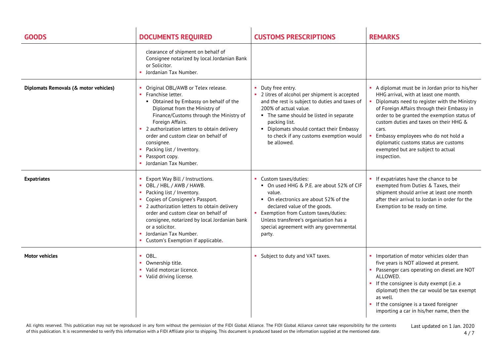| <b>GOODS</b>                          | <b>DOCUMENTS REQUIRED</b>                                                                                                                                                                                                                                                                                                                                                        | <b>CUSTOMS PRESCRIPTIONS</b>                                                                                                                                                                                                                                                                                    | <b>REMARKS</b>                                                                                                                                                                                                                                                                                                                                                                                                               |
|---------------------------------------|----------------------------------------------------------------------------------------------------------------------------------------------------------------------------------------------------------------------------------------------------------------------------------------------------------------------------------------------------------------------------------|-----------------------------------------------------------------------------------------------------------------------------------------------------------------------------------------------------------------------------------------------------------------------------------------------------------------|------------------------------------------------------------------------------------------------------------------------------------------------------------------------------------------------------------------------------------------------------------------------------------------------------------------------------------------------------------------------------------------------------------------------------|
|                                       | clearance of shipment on behalf of<br>Consignee notarized by local Jordanian Bank<br>or Solicitor.<br>Jordanian Tax Number.                                                                                                                                                                                                                                                      |                                                                                                                                                                                                                                                                                                                 |                                                                                                                                                                                                                                                                                                                                                                                                                              |
| Diplomats Removals (& motor vehicles) | Original OBL/AWB or Telex release.<br>Franchise letter.<br>• Obtained by Embassy on behalf of the<br>Diplomat from the Ministry of<br>Finance/Customs through the Ministry of<br>Foreign Affairs.<br>• 2 authorization letters to obtain delivery<br>order and custom clear on behalf of<br>consignee.<br>Packing list / Inventory.<br>Passport copy.<br>• Jordanian Tax Number. | Duty free entry.<br>• 2 litres of alcohol per shipment is accepted<br>and the rest is subject to duties and taxes of<br>200% of actual value.<br>• The same should be listed in separate<br>packing list.<br>• Diplomats should contact their Embassy<br>to check if any customs exemption would<br>be allowed. | A diplomat must be in Jordan prior to his/her<br>HHG arrival, with at least one month.<br>Diplomats need to register with the Ministry<br>of Foreign Affairs through their Embassy in<br>order to be granted the exemption status of<br>custom duties and taxes on their HHG &<br>cars.<br>Embassy employees who do not hold a<br>diplomatic customs status are customs<br>exempted but are subject to actual<br>inspection. |
| <b>Expatriates</b>                    | Export Way Bill / Instructions.<br>OBL / HBL / AWB / HAWB.<br>Packing list / Inventory.<br>Copies of Consignee's Passport.<br>• 2 authorization letters to obtain delivery<br>order and custom clear on behalf of<br>consignee, notarized by local Jordanian bank<br>or a solicitor.<br>Jordanian Tax Number.<br>Custom's Exemption if applicable.                               | Custom taxes/duties:<br>• On used HHG & P.E. are about 52% of CIF<br>value.<br>• On electronics are about 52% of the<br>declared value of the goods.<br>Exemption from Custom taxes/duties:<br>Unless transferee's organisation has a<br>special agreement with any governmental<br>party.                      | • If expatriates have the chance to be<br>exempted from Duties & Taxes, their<br>shipment should arrive at least one month<br>after their arrival to Jordan in order for the<br>Exemption to be ready on time.                                                                                                                                                                                                               |
| <b>Motor vehicles</b>                 | OBL.<br>Ownership title.<br>Valid motorcar licence.<br>• Valid driving license.                                                                                                                                                                                                                                                                                                  | Subject to duty and VAT taxes.                                                                                                                                                                                                                                                                                  | • Importation of motor vehicles older than<br>five years is NOT allowed at present.<br>• Passenger cars operating on diesel are NOT<br>ALLOWED.<br>• If the consignee is duty exempt (i.e. a<br>diplomat) then the car would be tax exempt<br>as well.<br>• If the consignee is a taxed foreigner<br>importing a car in his/her name, then the                                                                               |

All rights reserved. This publication may not be reproduced in any form without the permission of the FIDI Global Alliance. The FIDI Global Alliance cannot take responsibility for the contents of this publication. It is recommended to verify this information with a FIDI Affiliate prior to shipping. This document is produced based on the information supplied at the mentioned date.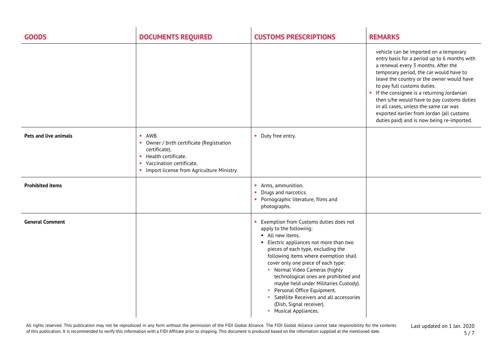| <b>GOODS</b>            | <b>DOCUMENTS REQUIRED</b>                                                                                                                                                                  | <b>CUSTOMS PRESCRIPTIONS</b>                                                                                                                                                                                                                                                                                                                                                                                                                                                                                 | <b>REMARKS</b>                                                                                                                                                                                                                                                                                                                                                                                                                                                                        |
|-------------------------|--------------------------------------------------------------------------------------------------------------------------------------------------------------------------------------------|--------------------------------------------------------------------------------------------------------------------------------------------------------------------------------------------------------------------------------------------------------------------------------------------------------------------------------------------------------------------------------------------------------------------------------------------------------------------------------------------------------------|---------------------------------------------------------------------------------------------------------------------------------------------------------------------------------------------------------------------------------------------------------------------------------------------------------------------------------------------------------------------------------------------------------------------------------------------------------------------------------------|
|                         |                                                                                                                                                                                            |                                                                                                                                                                                                                                                                                                                                                                                                                                                                                                              | vehicle can be imported on a temporary<br>entry basis for a period up to 6 months with<br>a renewal every 3 months. After the<br>temporary period, the car would have to<br>leave the country or the owner would have<br>to pay full customs duties.<br>• If the consignee is a returning Jordanian<br>then s/he would have to pay customs duties<br>in all cases, unless the same car was<br>exported earlier from Jordan (all customs<br>duties paid) and is now being re-imported. |
| Pets and live animals   | $\blacksquare$ AWB.<br>• Owner / birth certificate (Registration<br>certificate).<br>• Health certificate.<br>Vaccination certificate.<br>٠<br>• Import license from Agriculture Ministry. | Duty free entry.                                                                                                                                                                                                                                                                                                                                                                                                                                                                                             |                                                                                                                                                                                                                                                                                                                                                                                                                                                                                       |
| <b>Prohibited items</b> |                                                                                                                                                                                            | • Arms, ammunition.<br>Drugs and narcotics.<br>• Pornographic literature, films and<br>photographs.                                                                                                                                                                                                                                                                                                                                                                                                          |                                                                                                                                                                                                                                                                                                                                                                                                                                                                                       |
| <b>General Comment</b>  |                                                                                                                                                                                            | Exemption from Customs duties does not<br>apply to the following:<br>All new items.<br>• Electric appliances not more than two<br>pieces of each type, excluding the<br>following items where exemption shall<br>cover only one piece of each type:<br>" Normal Video Cameras (highly<br>technological ones are prohibited and<br>maybe held under Militaries Custody).<br>Personal Office Equipment.<br><b>Satellite Receivers and all accessories</b><br>(Dish, Signal receiver).<br>■ Musical Appliances. |                                                                                                                                                                                                                                                                                                                                                                                                                                                                                       |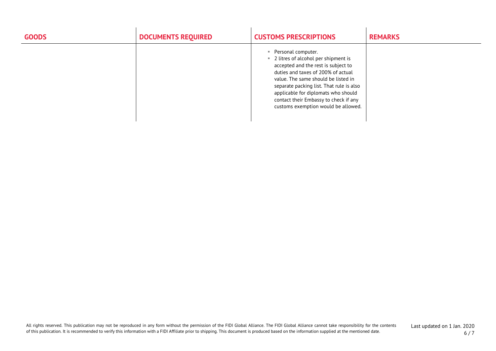| <b>GOODS</b> | <b>DOCUMENTS REQUIRED</b> | <b>CUSTOMS PRESCRIPTIONS</b>                                                                                                                                                                                                                                                                                                                           | <b>REMARKS</b> |
|--------------|---------------------------|--------------------------------------------------------------------------------------------------------------------------------------------------------------------------------------------------------------------------------------------------------------------------------------------------------------------------------------------------------|----------------|
|              |                           | Personal computer.<br>2 litres of alcohol per shipment is<br>л.<br>accepted and the rest is subject to<br>duties and taxes of 200% of actual<br>value. The same should be listed in<br>separate packing list. That rule is also<br>applicable for diplomats who should<br>contact their Embassy to check if any<br>customs exemption would be allowed. |                |